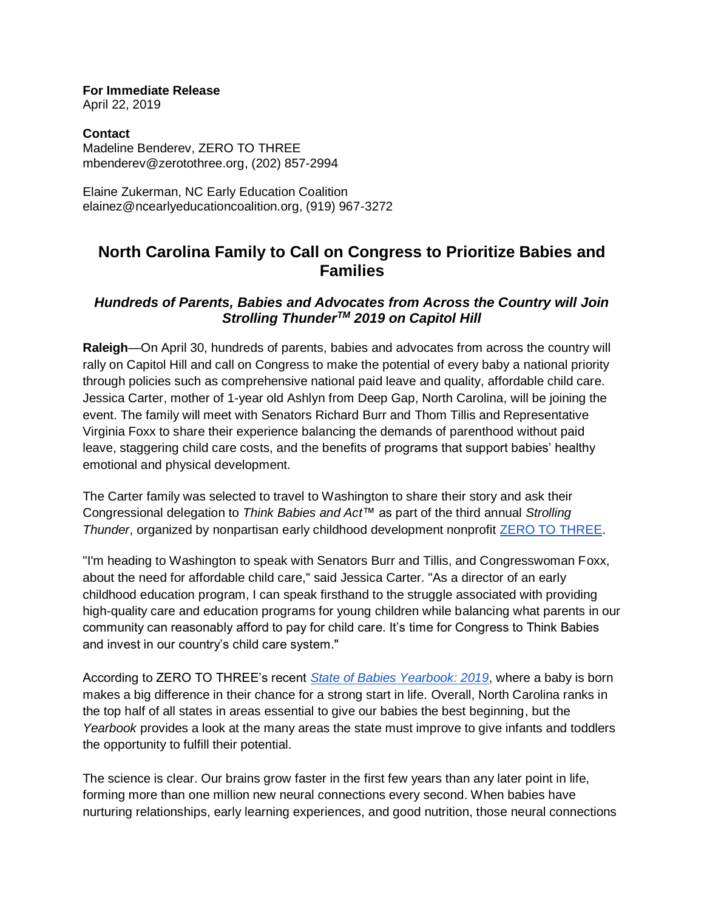**For Immediate Release** April 22, 2019

**Contact**  Madeline Benderev, ZERO TO THREE mbenderev@zerotothree.org, (202) 857-2994

Elaine Zukerman, NC Early Education Coalition elainez@ncearlyeducationcoalition.org, (919) 967-3272

# **North Carolina Family to Call on Congress to Prioritize Babies and Families**

## *Hundreds of Parents, Babies and Advocates from Across the Country will Join Strolling ThunderTM 2019 on Capitol Hill*

**Raleigh**—On April 30, hundreds of parents, babies and advocates from across the country will rally on Capitol Hill and call on Congress to make the potential of every baby a national priority through policies such as comprehensive national paid leave and quality, affordable child care. Jessica Carter, mother of 1-year old Ashlyn from Deep Gap, North Carolina, will be joining the event. The family will meet with Senators Richard Burr and Thom Tillis and Representative Virginia Foxx to share their experience balancing the demands of parenthood without paid leave, staggering child care costs, and the benefits of programs that support babies' healthy emotional and physical development.

The Carter family was selected to travel to Washington to share their story and ask their Congressional delegation to *Think Babies and Act*™ as part of the third annual *Strolling Thunder*, organized by nonpartisan early childhood development nonprofit [ZERO TO THREE.](https://www.zerotothree.org/)

"I'm heading to Washington to speak with Senators Burr and Tillis, and Congresswoman Foxx, about the need for affordable child care," said Jessica Carter. "As a director of an early childhood education program, I can speak firsthand to the struggle associated with providing high-quality care and education programs for young children while balancing what parents in our community can reasonably afford to pay for child care. It's time for Congress to Think Babies and invest in our country's child care system."

According to ZERO TO THREE's recent *[State of Babies Yearbook: 2019](http://stateofbabies.org/)*, where a baby is born makes a big difference in their chance for a strong start in life. Overall, North Carolina ranks in the top half of all states in areas essential to give our babies the best beginning, but the *Yearbook* provides a look at the many areas the state must improve to give infants and toddlers the opportunity to fulfill their potential.

The science is clear. Our brains grow faster in the first few years than any later point in life, forming more than one million new neural connections every second. When babies have nurturing relationships, early learning experiences, and good nutrition, those neural connections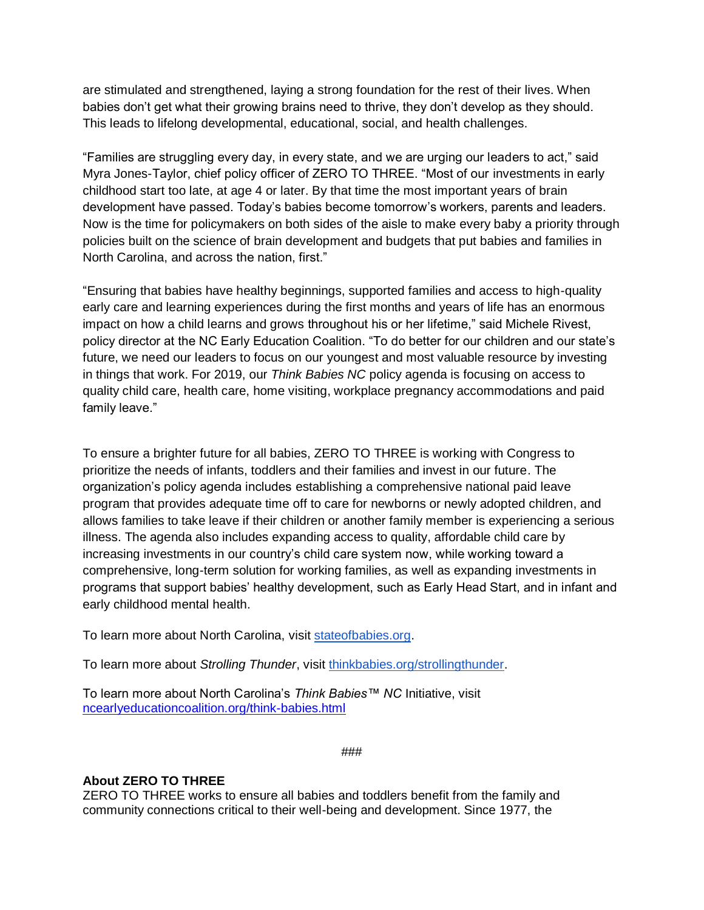are stimulated and strengthened, laying a strong foundation for the rest of their lives. When babies don't get what their growing brains need to thrive, they don't develop as they should. This leads to lifelong developmental, educational, social, and health challenges.

"Families are struggling every day, in every state, and we are urging our leaders to act," said Myra Jones-Taylor, chief policy officer of ZERO TO THREE. "Most of our investments in early childhood start too late, at age 4 or later. By that time the most important years of brain development have passed. Today's babies become tomorrow's workers, parents and leaders. Now is the time for policymakers on both sides of the aisle to make every baby a priority through policies built on the science of brain development and budgets that put babies and families in North Carolina, and across the nation, first."

"Ensuring that babies have healthy beginnings, supported families and access to high-quality early care and learning experiences during the first months and years of life has an enormous impact on how a child learns and grows throughout his or her lifetime," said Michele Rivest, policy director at the NC Early Education Coalition. "To do better for our children and our state's future, we need our leaders to focus on our youngest and most valuable resource by investing in things that work. For 2019, our *Think Babies NC* policy agenda is focusing on access to quality child care, health care, home visiting, workplace pregnancy accommodations and paid family leave."

To ensure a brighter future for all babies, ZERO TO THREE is working with Congress to prioritize the needs of infants, toddlers and their families and invest in our future. The organization's policy agenda includes establishing a comprehensive national paid leave program that provides adequate time off to care for newborns or newly adopted children, and allows families to take leave if their children or another family member is experiencing a serious illness. The agenda also includes expanding access to quality, affordable child care by increasing investments in our country's child care system now, while working toward a comprehensive, long-term solution for working families, as well as expanding investments in programs that support babies' healthy development, such as Early Head Start, and in infant and early childhood mental health.

To learn more about North Carolina, visit [stateofbabies.org.](https://www.stateofbabies.org/)

To learn more about *Strolling Thunder*, visit [thinkbabies.org/strollingthunder.](https://www.thinkbabies.org/strollingthunder)

To learn more about North Carolina's *Think Babies™ NC* Initiative, visit [ncearlyeducationcoalition.org/think-babies.html](https://www.ncearlyeducationcoalition.org/think-babies.html)

###

### **About ZERO TO THREE**

ZERO TO THREE works to ensure all babies and toddlers benefit from the family and community connections critical to their well-being and development. Since 1977, the